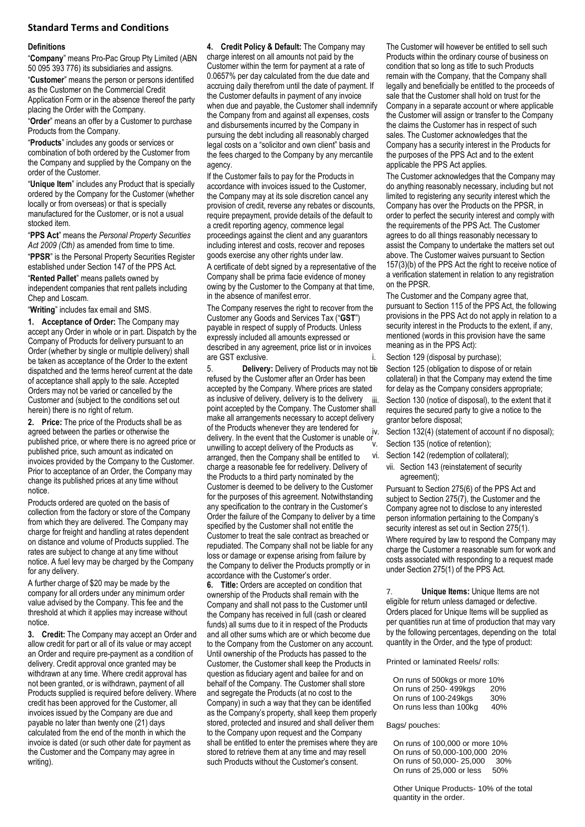### **Standard Terms and Conditions**

#### **Definitions**

"**Company**" means Pro-Pac Group Pty Limited (ABN 50 095 393 776) its subsidiaries and assigns.

"**Customer**" means the person or persons identified as the Customer on the Commercial Credit Application Form or in the absence thereof the party placing the Order with the Company.

"**Order**" means an offer by a Customer to purchase Products from the Company.

"**Products**" includes any goods or services or combination of both ordered by the Customer from the Company and supplied by the Company on the order of the Customer.

"**Unique Item**" includes any Product that is specially ordered by the Company for the Customer (whether locally or from overseas) or that is specially manufactured for the Customer, or is not a usual stocked item.

"**PPS Act**" means the *Personal Property Securities*  Act 2009 (Cth) as amended from time to time. "**PPSR**" is the Personal Property Securities Register established under Section 147 of the PPS Act.

"**Rented Pallet**" means pallets owned by independent companies that rent pallets including Chep and Loscam.

"**Writing**" includes fax email and SMS.

**1. Acceptance of Order:** The Company may accept any Order in whole or in part. Dispatch by the Company of Products for delivery pursuant to an Order (whether by single or multiple delivery) shall be taken as acceptance of the Order to the extent dispatched and the terms hereof current at the date of acceptance shall apply to the sale. Accepted Orders may not be varied or cancelled by the Customer and (subject to the conditions set out herein) there is no right of return.

**2. Price:** The price of the Products shall be as agreed between the parties or otherwise the published price, or where there is no agreed price or published price, such amount as indicated on invoices provided by the Company to the Customer. Prior to acceptance of an Order, the Company may change its published prices at any time without notice.

Products ordered are quoted on the basis of collection from the factory or store of the Company from which they are delivered. The Company may charge for freight and handling at rates dependent on distance and volume of Products supplied. The rates are subject to change at any time without notice. A fuel levy may be charged by the Company for any delivery.

A further charge of \$20 may be made by the company for all orders under any minimum order value advised by the Company. This fee and the threshold at which it applies may increase without notice.

**3. Credit:** The Company may accept an Order and allow credit for part or all of its value or may accept an Order and require pre-payment as a condition of delivery. Credit approval once granted may be withdrawn at any time. Where credit approval has not been granted, or is withdrawn, payment of all Products supplied is required before delivery. Where credit has been approved for the Customer, all invoices issued by the Company are due and payable no later than twenty one (21) days calculated from the end of the month in which the invoice is dated (or such other date for payment as the Customer and the Company may agree in writing).

**4. Credit Policy & Default:** The Company may charge interest on all amounts not paid by the Customer within the term for payment at a rate of 0.0657% per day calculated from the due date and accruing daily therefrom until the date of payment. If the Customer defaults in payment of any invoice when due and payable, the Customer shall indemnify the Company from and against all expenses, costs and disbursements incurred by the Company in pursuing the debt including all reasonably charged legal costs on a "solicitor and own client" basis and the fees charged to the Company by any mercantile agency.

If the Customer fails to pay for the Products in accordance with invoices issued to the Customer, the Company may at its sole discretion cancel any provision of credit, reverse any rebates or discounts, require prepayment, provide details of the default to a credit reporting agency, commence legal proceedings against the client and any guarantors including interest and costs, recover and reposes goods exercise any other rights under law.

A certificate of debt signed by a representative of the Company shall be prima facie evidence of money owing by the Customer to the Company at that time, in the absence of manifest error.

The Company reserves the right to recover from the Customer any Goods and Services Tax ("**GST**") payable in respect of supply of Products. Unless expressly included all amounts expressed or described in any agreement, price list or in invoices are GST exclusive.

5. **Delivery:** Delivery of Products may not be refused by the Customer after an Order has been accepted by the Company. Where prices are stated as inclusive of delivery, delivery is to the delivery iii. point accepted by the Company. The Customer shall make all arrangements necessary to accept delivery of the Products whenever they are tendered for delivery. In the event that the Customer is unable or<br>delivery. In the event that the Customer is unable or unwilling to accept delivery of the Products as arranged, then the Company shall be entitled to charge a reasonable fee for redelivery. Delivery of the Products to a third party nominated by the Customer is deemed to be delivery to the Customer for the purposes of this agreement. Notwithstanding any specification to the contrary in the Customer's Order the failure of the Company to deliver by a time specified by the Customer shall not entitle the Customer to treat the sale contract as breached or repudiated. The Company shall not be liable for any loss or damage or expense arising from failure by the Company to deliver the Products promptly or in accordance with the Customer's order.

**6. Title:** Orders are accepted on condition that ownership of the Products shall remain with the Company and shall not pass to the Customer until the Company has received in full (cash or cleared funds) all sums due to it in respect of the Products and all other sums which are or which become due to the Company from the Customer on any account. Until ownership of the Products has passed to the Customer, the Customer shall keep the Products in question as fiduciary agent and bailee for and on behalf of the Company. The Customer shall store and segregate the Products (at no cost to the Company) in such a way that they can be identified as the Company's property, shall keep them properly stored, protected and insured and shall deliver them to the Company upon request and the Company shall be entitled to enter the premises where they are stored to retrieve them at any time and may resell such Products without the Customer's consent.

The Customer will however be entitled to sell such Products within the ordinary course of business on condition that so long as title to such Products remain with the Company, that the Company shall legally and beneficially be entitled to the proceeds of sale that the Customer shall hold on trust for the Company in a separate account or where applicable the Customer will assign or transfer to the Company the claims the Customer has in respect of such sales. The Customer acknowledges that the Company has a security interest in the Products for the purposes of the PPS Act and to the extent applicable the PPS Act applies.

The Customer acknowledges that the Company may do anything reasonably necessary, including but not limited to registering any security interest which the Company has over the Products on the PPSR, in order to perfect the security interest and comply with the requirements of the PPS Act. The Customer agrees to do all things reasonably necessary to assist the Company to undertake the matters set out above. The Customer waives pursuant to Section 157(3)(b) of the PPS Act the right to receive notice of a verification statement in relation to any registration on the PPSR.

The Customer and the Company agree that, pursuant to Section 115 of the PPS Act, the following provisions in the PPS Act do not apply in relation to a security interest in the Products to the extent, if any, mentioned (words in this provision have the same meaning as in the PPS Act):

i. Section 129 (disposal by purchase);

Section 125 (obligation to dispose of or retain collateral) in that the Company may extend the time for delay as the Company considers appropriate; Section 130 (notice of disposal), to the extent that it

requires the secured party to give a notice to the grantor before disposal;

Section 132(4) (statement of account if no disposal); Section 135 (notice of retention);

- vi. Section 142 (redemption of collateral);
	- vii. Section 143 (reinstatement of security agreement);

Pursuant to Section 275(6) of the PPS Act and subject to Section 275(7), the Customer and the Company agree not to disclose to any interested person information pertaining to the Company's security interest as set out in Section 275(1).

Where required by law to respond the Company may charge the Customer a reasonable sum for work and costs associated with responding to a request made under Section 275(1) of the PPS Act.

7. **Unique Items:** Unique Items are not eligible for return unless damaged or defective. Orders placed for Unique Items will be supplied as per quantities run at time of production that may vary by the following percentages, depending on the total quantity in the Order, and the type of product:

Printed or laminated Reels/ rolls:

| On runs of 500kgs or more 10% |     |
|-------------------------------|-----|
| On runs of 250-499kgs         | 20% |
| On runs of 100-249kgs         | 30% |
| On runs less than 100kg       | 40% |

#### Bags/ pouches:

On runs of 100,000 or more 10% On runs of 50,000-100,000 20% On runs of 50,000- 25,000 On runs of 25,000 or less 50%

Other Unique Products- 10% of the total quantity in the order.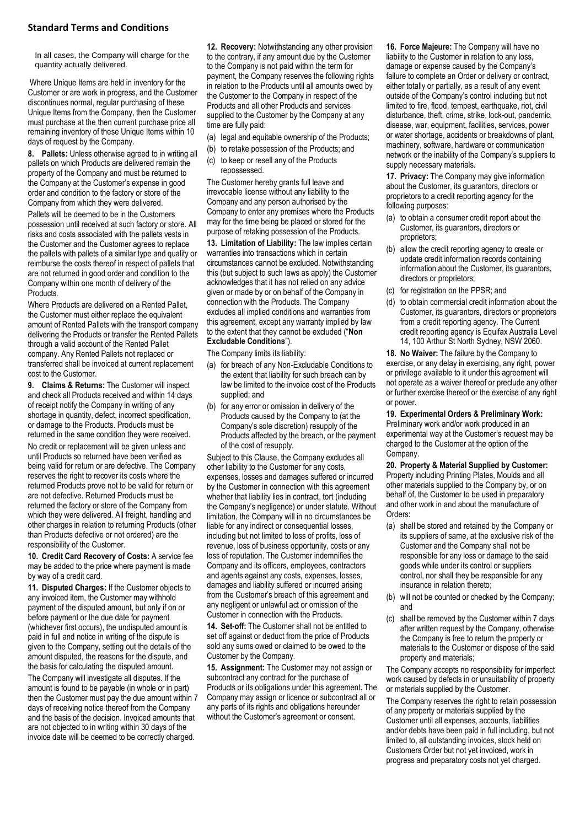## **Standard Terms and Conditions**

In all cases, the Company will charge for the quantity actually delivered.

Where Unique Items are held in inventory for the Customer or are work in progress, and the Customer discontinues normal, regular purchasing of these Unique Items from the Company, then the Customer must purchase at the then current purchase price all remaining inventory of these Unique Items within 10 days of request by the Company.

**8. Pallets:** Unless otherwise agreed to in writing all pallets on which Products are delivered remain the property of the Company and must be returned to the Company at the Customer's expense in good order and condition to the factory or store of the Company from which they were delivered.

Pallets will be deemed to be in the Customers possession until received at such factory or store. All risks and costs associated with the pallets vests in the Customer and the Customer agrees to replace the pallets with pallets of a similar type and quality or reimburse the costs thereof in respect of pallets that are not returned in good order and condition to the Company within one month of delivery of the **Products** 

Where Products are delivered on a Rented Pallet, the Customer must either replace the equivalent amount of Rented Pallets with the transport company delivering the Products or transfer the Rented Pallets through a valid account of the Rented Pallet company. Any Rented Pallets not replaced or transferred shall be invoiced at current replacement cost to the Customer.

**9. Claims & Returns:** The Customer will inspect and check all Products received and within 14 days of receipt notify the Company in writing of any shortage in quantity, defect, incorrect specification, or damage to the Products. Products must be returned in the same condition they were received.

No credit or replacement will be given unless and until Products so returned have been verified as being valid for return or are defective. The Company reserves the right to recover its costs where the returned Products prove not to be valid for return or are not defective. Returned Products must be returned the factory or store of the Company from which they were delivered. All freight, handling and other charges in relation to returning Products (other than Products defective or not ordered) are the responsibility of the Customer.

**10. Credit Card Recovery of Costs:** A service fee may be added to the price where payment is made by way of a credit card.

**11. Disputed Charges:** If the Customer objects to any invoiced item, the Customer may withhold payment of the disputed amount, but only if on or before payment or the due date for payment (whichever first occurs), the undisputed amount is paid in full and notice in writing of the dispute is given to the Company, setting out the details of the amount disputed, the reasons for the dispute, and the basis for calculating the disputed amount.

The Company will investigate all disputes. If the amount is found to be payable (in whole or in part) then the Customer must pay the due amount within 7 days of receiving notice thereof from the Company and the basis of the decision. Invoiced amounts that are not objected to in writing within 30 days of the invoice date will be deemed to be correctly charged.

**12. Recovery:** Notwithstanding any other provision to the contrary, if any amount due by the Customer to the Company is not paid within the term for payment, the Company reserves the following rights in relation to the Products until all amounts owed by the Customer to the Company in respect of the Products and all other Products and services supplied to the Customer by the Company at any time are fully paid:

- (a) legal and equitable ownership of the Products;
- (b) to retake possession of the Products; and
- (c) to keep or resell any of the Products repossessed.

The Customer hereby grants full leave and irrevocable license without any liability to the Company and any person authorised by the Company to enter any premises where the Products may for the time being be placed or stored for the purpose of retaking possession of the Products.

**13. Limitation of Liability:** The law implies certain warranties into transactions which in certain circumstances cannot be excluded. Notwithstanding this (but subject to such laws as apply) the Customer acknowledges that it has not relied on any advice given or made by or on behalf of the Company in connection with the Products. The Company excludes all implied conditions and warranties from this agreement, except any warranty implied by law to the extent that they cannot be excluded ("**Non Excludable Conditions**").

The Company limits its liability:

- (a) for breach of any Non-Excludable Conditions to the extent that liability for such breach can by law be limited to the invoice cost of the Products supplied; and
- (b) for any error or omission in delivery of the Products caused by the Company to (at the Company's sole discretion) resupply of the Products affected by the breach, or the payment of the cost of resupply.

Subject to this Clause, the Company excludes all other liability to the Customer for any costs, expenses, losses and damages suffered or incurred by the Customer in connection with this agreement whether that liability lies in contract, tort (including the Company's negligence) or under statute. Without limitation, the Company will in no circumstances be liable for any indirect or consequential losses, including but not limited to loss of profits, loss of revenue, loss of business opportunity, costs or any loss of reputation. The Customer indemnifies the Company and its officers, employees, contractors and agents against any costs, expenses, losses, damages and liability suffered or incurred arising from the Customer's breach of this agreement and any negligent or unlawful act or omission of the Customer in connection with the Products.

**14. Set-off:** The Customer shall not be entitled to set off against or deduct from the price of Products sold any sums owed or claimed to be owed to the Customer by the Company.

**15. Assignment:** The Customer may not assign or subcontract any contract for the purchase of Products or its obligations under this agreement. The Company may assign or licence or subcontract all or any parts of its rights and obligations hereunder without the Customer's agreement or consent.

**16. Force Majeure:** The Company will have no liability to the Customer in relation to any loss, damage or expense caused by the Company's failure to complete an Order or delivery or contract, either totally or partially, as a result of any event outside of the Company's control including but not limited to fire, flood, tempest, earthquake, riot, civil disturbance, theft, crime, strike, lock-out, pandemic, disease, war, equipment, facilities, services, power or water shortage, accidents or breakdowns of plant, machinery, software, hardware or communication network or the inability of the Company's suppliers to supply necessary materials.

**17. Privacy:** The Company may give information about the Customer, its guarantors, directors or proprietors to a credit reporting agency for the following purposes:

- (a) to obtain a consumer credit report about the Customer, its guarantors, directors or proprietors;
- (b) allow the credit reporting agency to create or update credit information records containing information about the Customer, its guarantors, directors or proprietors;
- (c) for registration on the PPSR; and
- (d) to obtain commercial credit information about the Customer, its guarantors, directors or proprietors from a credit reporting agency. The Current credit reporting agency is Equifax Australia Level 14, 100 Arthur St North Sydney, NSW 2060.

**18. No Waiver:** The failure by the Company to exercise, or any delay in exercising, any right, power or privilege available to it under this agreement will not operate as a waiver thereof or preclude any other or further exercise thereof or the exercise of any right or power.

**19. Experimental Orders & Preliminary Work:**  Preliminary work and/or work produced in an experimental way at the Customer's request may be charged to the Customer at the option of the Company.

**20. Property & Material Supplied by Customer:**  Property including Printing Plates, Moulds and all other materials supplied to the Company by, or on behalf of, the Customer to be used in preparatory and other work in and about the manufacture of Orders:

- (a) shall be stored and retained by the Company or its suppliers of same, at the exclusive risk of the Customer and the Company shall not be responsible for any loss or damage to the said goods while under its control or suppliers control, nor shall they be responsible for any insurance in relation thereto;
- (b) will not be counted or checked by the Company; and
- (c) shall be removed by the Customer within 7 days after written request by the Company, otherwise the Company is free to return the property or materials to the Customer or dispose of the said property and materials;

The Company accepts no responsibility for imperfect work caused by defects in or unsuitability of property or materials supplied by the Customer.

The Company reserves the right to retain possession of any property or materials supplied by the Customer until all expenses, accounts, liabilities and/or debts have been paid in full including, but not limited to, all outstanding invoices, stock held on Customers Order but not yet invoiced, work in progress and preparatory costs not yet charged.